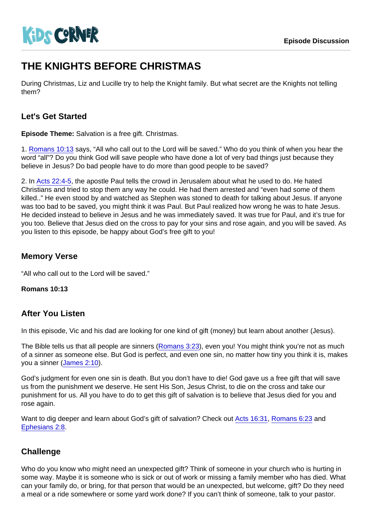# THE KNIGHTS BEFORE CHRISTMAS

During Christmas, Liz and Lucille try to help the Knight family. But what secret are the Knights not telling them?

## Let's Get Started

Episode Theme: Salvation is a free gift. Christmas.

1. [Romans 10:13](https://www.biblegateway.com/passage/?search=Romans+10:13) says, "All who call out to the Lord will be saved." Who do you think of when you hear the word "all"? Do you think God will save people who have done a lot of very bad things just because they believe in Jesus? Do bad people have to do more than good people to be saved?

2. In [Acts 22:4-5](https://www.biblegateway.com/passage/?search=Acts+22:4-5), the apostle Paul tells the crowd in Jerusalem about what he used to do. He hated Christians and tried to stop them any way he could. He had them arrested and "even had some of them killed.." He even stood by and watched as Stephen was stoned to death for talking about Jesus. If anyone was too bad to be saved, you might think it was Paul. But Paul realized how wrong he was to hate Jesus. He decided instead to believe in Jesus and he was immediately saved. It was true for Paul, and it's true for you too. Believe that Jesus died on the cross to pay for your sins and rose again, and you will be saved. As you listen to this episode, be happy about God's free gift to you!

## Memory Verse

"All who call out to the Lord will be saved."

Romans 10:13

#### After You Listen

In this episode, Vic and his dad are looking for one kind of gift (money) but learn about another (Jesus).

The Bible tells us that all people are sinners [\(Romans 3:23\)](https://www.biblegateway.com/passage/?search=Romans+3:23), even you! You might think you're not as much of a sinner as someone else. But God is perfect, and even one sin, no matter how tiny you think it is, makes you a sinner ([James 2:10\)](https://www.biblegateway.com/passage/?search=James+2:10).

God's judgment for even one sin is death. But you don't have to die! God gave us a free gift that will save us from the punishment we deserve. He sent His Son, Jesus Christ, to die on the cross and take our punishment for us. All you have to do to get this gift of salvation is to believe that Jesus died for you and rose again.

Want to dig deeper and learn about God's gift of salvation? Check out [Acts 16:31](https://www.biblegateway.com/passage/?search=Acts+16:31), [Romans 6:23](https://www.biblegateway.com/passage/?search=Romans+6:23) and [Ephesians 2:8.](https://www.biblegateway.com/passage/?search=Ephesians+2:8)

## **Challenge**

Who do you know who might need an unexpected gift? Think of someone in your church who is hurting in some way. Maybe it is someone who is sick or out of work or missing a family member who has died. What can your family do, or bring, for that person that would be an unexpected, but welcome, gift? Do they need a meal or a ride somewhere or some yard work done? If you can't think of someone, talk to your pastor.